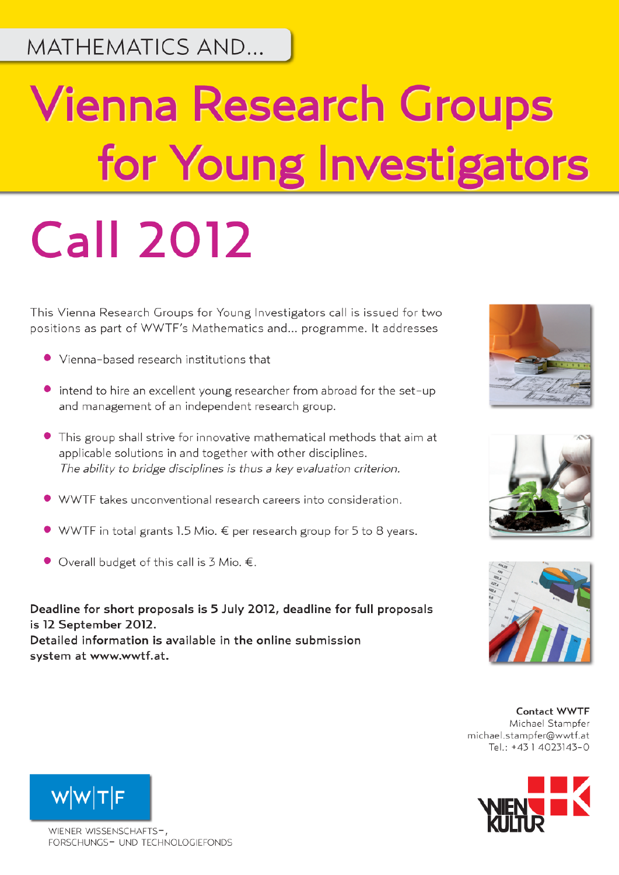MATHEMATICS AND...

## **Vienna Research Groups** for Young Investigators **Call 2012**

This Vienna Research Groups for Young Investigators call is issued for two positions as part of WWTF's Mathematics and... programme. It addresses

- Vienna-based research institutions that
- intend to hire an excellent young researcher from abroad for the set-up and management of an independent research group.
- This group shall strive for innovative mathematical methods that aim at applicable solutions in and together with other disciplines. The ability to bridge disciplines is thus a key evaluation criterion.
- WWTF takes unconventional research careers into consideration.
- WWTF in total grants 1.5 Mio. € per research group for 5 to 8 years.
- $\bullet$  Overall budget of this call is 3 Mio. €.

Deadline for short proposals is 5 July 2012, deadline for full proposals is 12 September 2012. Detailed information is available in the online submission system at www.wwtf.at.







Contact WWTF Michael Stampfer michael.stampfer@wwtf.at Tel.: +43 1 4023143-0